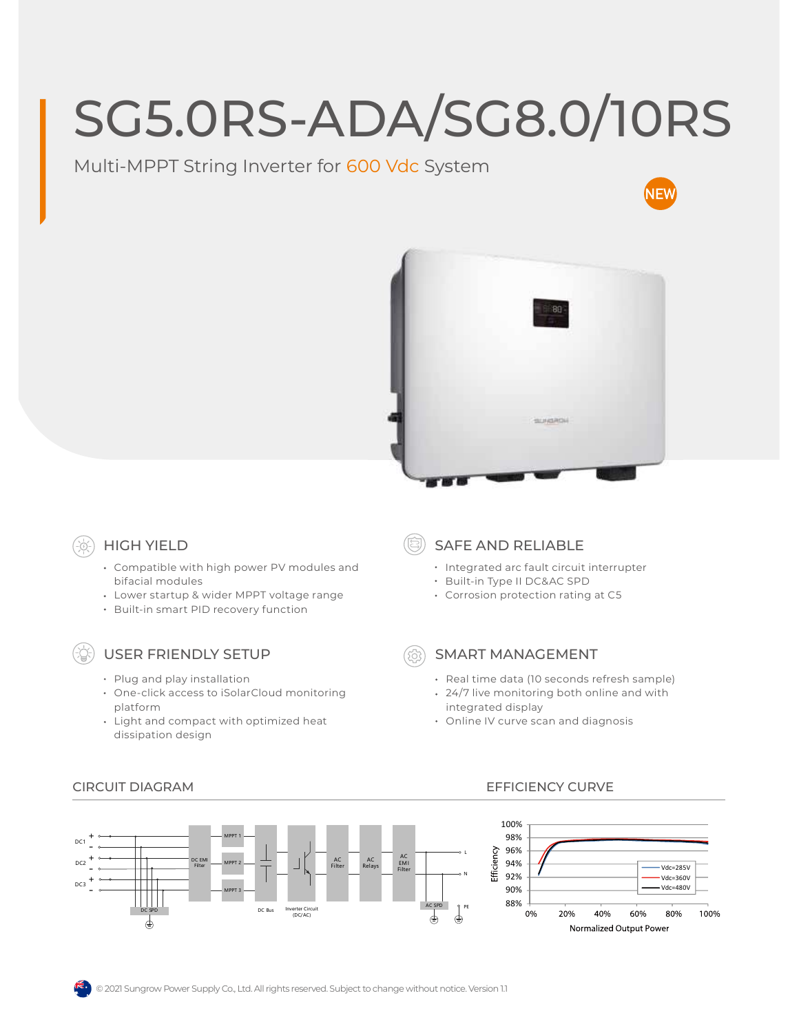# SG5.0RS-ADA/SG8.0/10RS

## Multi-MPPT String Inverter for 600 Vdc System





## HIGH YIELD

- Compatible with high power PV modules and bifacial modules
- Lower startup & wider MPPT voltage range
- Built-in smart PID recovery function

### USER FRIENDLY SETUP

- Plug and play installation
- One-click access to iSolarCloud monitoring platform
- Light and compact with optimized heat dissipation design

### SAFE AND RELIABLE

- Integrated arc fault circuit interrupter
- Built-in Type II DC&AC SPD
- Corrosion protection rating at C5

#### SMART MANAGEMENT

- Real time data (10 seconds refresh sample)
- 24/7 live monitoring both online and with integrated display
- Online IV curve scan and diagnosis



#### CIRCUIT DIAGRAM EFFICIENCY CURVE